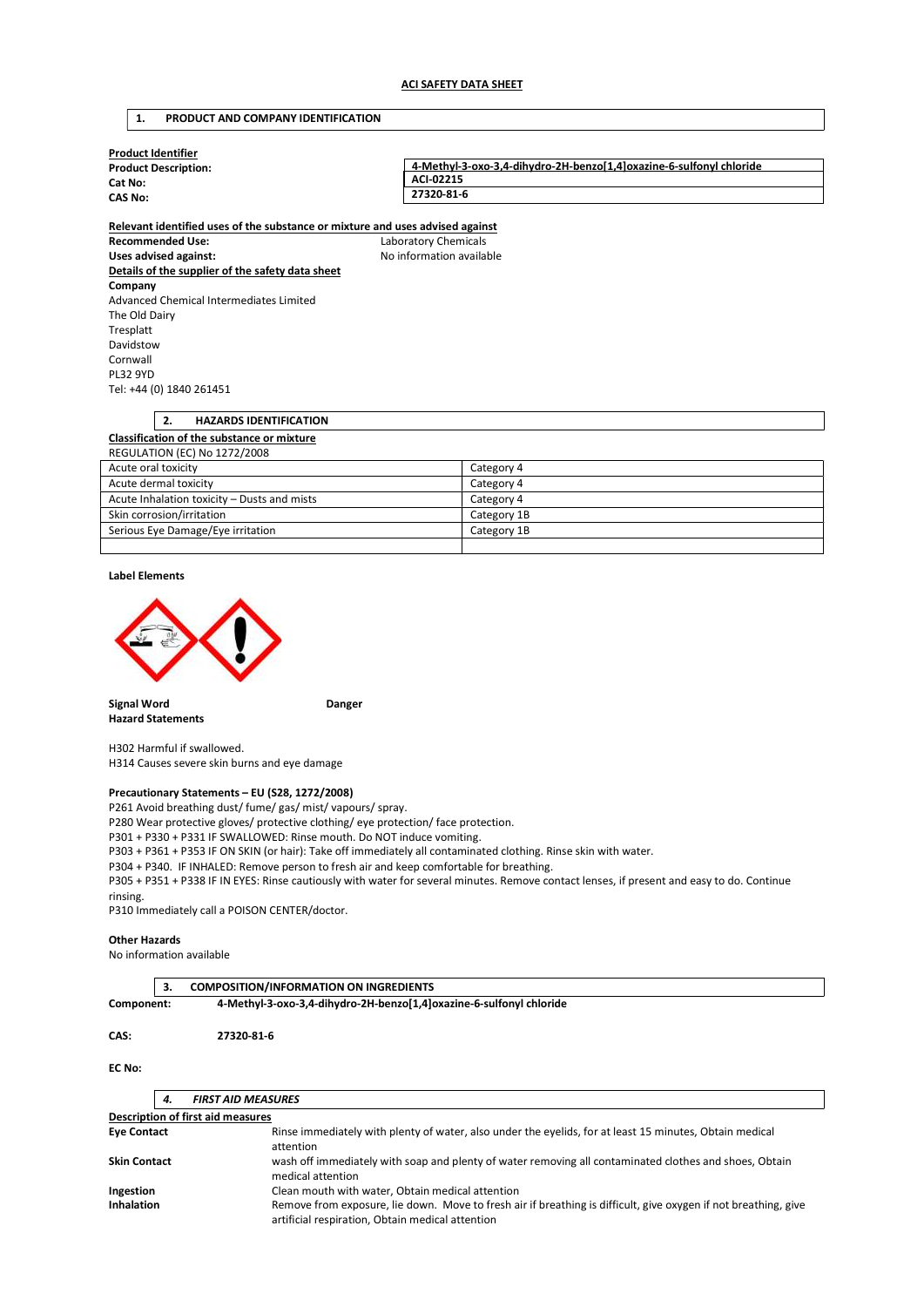# 1. PRODUCT AND COMPANY IDENTIFICATION

| <b>Product Identifier</b><br><b>Product Description:</b>                      | 4-Methyl-3-oxo-3,4-dihydro-2H-benzo[1,4]oxazine-6-sulfonyl chloride |
|-------------------------------------------------------------------------------|---------------------------------------------------------------------|
| Cat No:                                                                       | ACI-02215                                                           |
| CAS No:                                                                       | 27320-81-6                                                          |
| Relevant identified uses of the substance or mixture and uses advised against |                                                                     |

Recommended Use: Laboratory Chemicals Uses advised against: No information available Details of the supplier of the safety data sheet Company Advanced Chemical Intermediates Limited The Old Dairy Tresplatt Davidstow Cornwall PL32 9YD Tel: +44 (0) 1840 261451

| <b>HAZARDS IDENTIFICATION</b><br>2.               |             |  |
|---------------------------------------------------|-------------|--|
| <b>Classification of the substance or mixture</b> |             |  |
| <b>REGULATION (EC) No 1272/2008</b>               |             |  |
| Acute oral toxicity<br>Category 4                 |             |  |
| Acute dermal toxicity                             | Category 4  |  |
| Acute Inhalation toxicity – Dusts and mists       | Category 4  |  |
| Skin corrosion/irritation                         | Category 1B |  |
| Serious Eye Damage/Eye irritation                 | Category 1B |  |

## Label Elements



Signal Word **Danger Danger** Hazard Statements

H302 Harmful if swallowed. H314 Causes severe skin burns and eye damage

## Precautionary Statements – EU (S28, 1272/2008)

P261 Avoid breathing dust/ fume/ gas/ mist/ vapours/ spray.

P280 Wear protective gloves/ protective clothing/ eye protection/ face protection.

P301 + P330 + P331 IF SWALLOWED: Rinse mouth. Do NOT induce vomiting.

P303 + P361 + P353 IF ON SKIN (or hair): Take off immediately all contaminated clothing. Rinse skin with water.

P304 + P340. IF INHALED: Remove person to fresh air and keep comfortable for breathing.

P305 + P351 + P338 IF IN EYES: Rinse cautiously with water for several minutes. Remove contact lenses, if present and easy to do. Continue rinsing.

P310 Immediately call a POISON CENTER/doctor.

### Other Hazards

No information available

|            | 3. | <b>COMPOSITION/INFORMATION ON INGREDIENTS</b>                       |  |
|------------|----|---------------------------------------------------------------------|--|
| Component: |    | 4-Methyl-3-oxo-3,4-dihydro-2H-benzo[1,4]oxazine-6-sulfonyl chloride |  |
| CAS:       |    | 27320-81-6                                                          |  |

# EC No:

|                                   | 4.                                               | <b>FIRST AID MEASURES</b>                                                                                                                                           |  |
|-----------------------------------|--------------------------------------------------|---------------------------------------------------------------------------------------------------------------------------------------------------------------------|--|
| Description of first aid measures |                                                  |                                                                                                                                                                     |  |
| <b>Eye Contact</b>                |                                                  | Rinse immediately with plenty of water, also under the eyelids, for at least 15 minutes, Obtain medical<br>attention                                                |  |
| <b>Skin Contact</b>               |                                                  | wash off immediately with soap and plenty of water removing all contaminated clothes and shoes, Obtain<br>medical attention                                         |  |
| Ingestion                         | Clean mouth with water, Obtain medical attention |                                                                                                                                                                     |  |
| <b>Inhalation</b>                 |                                                  | Remove from exposure, lie down. Move to fresh air if breathing is difficult, give oxygen if not breathing, give<br>artificial respiration, Obtain medical attention |  |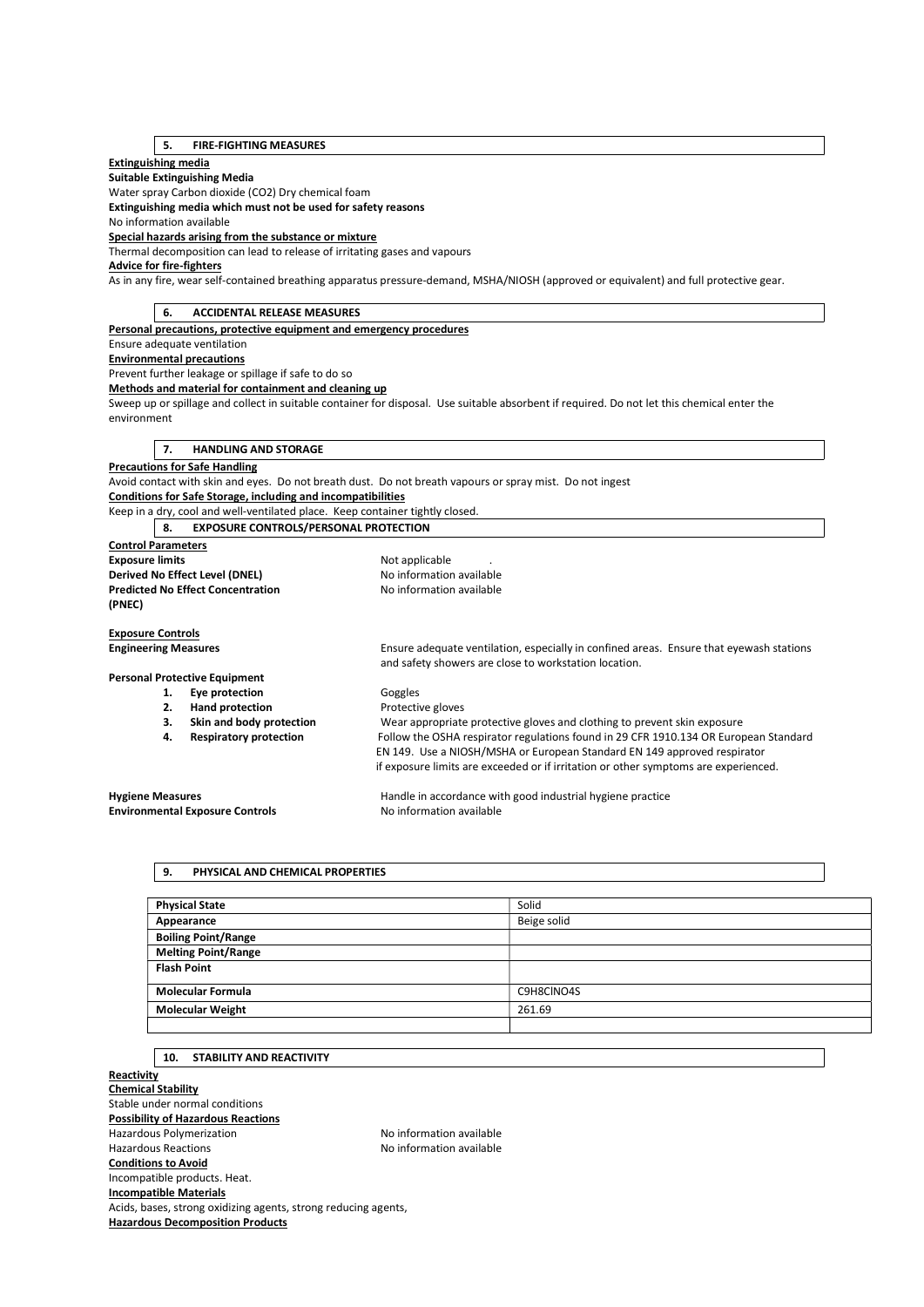# 5. FIRE-FIGHTING MEASURES

# Extinguishing media

Suitable Extinguishing Media

Water spray Carbon dioxide (CO2) Dry chemical foam

Extinguishing media which must not be used for safety reasons

No information available

## Special hazards arising from the substance or mixture

Thermal decomposition can lead to release of irritating gases and vapours

Advice for fire-fighters

As in any fire, wear self-contained breathing apparatus pressure-demand, MSHA/NIOSH (approved or equivalent) and full protective gear.

# 6. ACCIDENTAL RELEASE MEASURES Personal precautions, protective equipment and emergency procedures Ensure adequate ventilation Environmental precautions Prevent further leakage or spillage if safe to do so Methods and material for containment and cleaning up Sweep up or spillage and collect in suitable container for disposal. Use suitable absorbent if required. Do not let this chemical enter the environment 7. HANDLING AND STORAGE Precautions for Safe Handling Avoid contact with skin and eyes. Do not breath dust. Do not breath vapours or spray mist. Do not ingest Conditions for Safe Storage, including and incompatibilities Keep in a dry, cool and well-ventilated place. Keep container tightly closed. 8. EXPOSURE CONTROLS/PERSONAL PROTECTION Control Parameters Exposure limits **Exposure limits Not applicable** ... Derived No Effect Level (DNEL) No information available **Predicted No Effect Concentration** No information available (PNEC) Exposure Controls Engineering Measures Ensure adequate ventilation, especially in confined areas. Ensure that eyewash stations and safety showers are close to workstation location. Personal Protective Equipment 1. Eye protection Goggles 2. Hand protection **Protective gloves** 3. Skin and body protection Wear appropriate protective gloves and clothing to prevent skin exposure 4. Respiratory protection Follow the OSHA respirator regulations found in 29 CFR 1910.134 OR European Standard EN 149. Use a NIOSH/MSHA or European Standard EN 149 approved respirator if exposure limits are exceeded or if irritation or other symptoms are experienced.

Hygiene Measures **Handle in accordance with good industrial hygiene practice** Handle in accordance with good industrial hygiene practice Environmental Exposure Controls No information available

## 9. PHYSICAL AND CHEMICAL PROPERTIES

| <b>Physical State</b>      | Solid       |
|----------------------------|-------------|
| Appearance                 | Beige solid |
| <b>Boiling Point/Range</b> |             |
| <b>Melting Point/Range</b> |             |
| <b>Flash Point</b>         |             |
|                            |             |
| <b>Molecular Formula</b>   | C9H8CINO4S  |
| <b>Molecular Weight</b>    | 261.69      |
|                            |             |

#### 10. STABILITY AND REACTIVITY

**Reactivity** Chemical Stability Stable under normal conditions Possibility of Hazardous Reactions Hazardous Polymerization No information available Hazardous Reactions No information available Conditions to Avoid Incompatible products. Heat. Incompatible Materials Acids, bases, strong oxidizing agents, strong reducing agents, Hazardous Decomposition Products